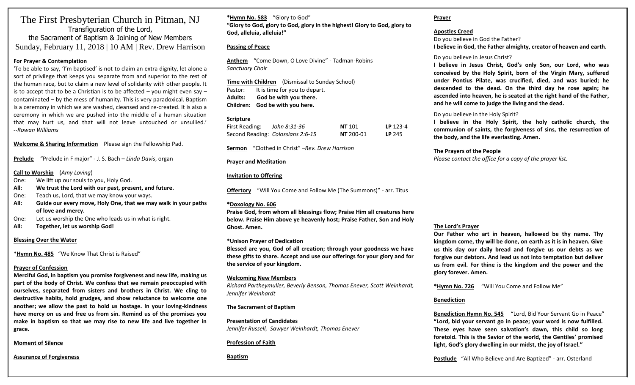# The First Presbyterian Church in Pitman, NJ Transfiguration of the Lord, the Sacrament of Baptism & Joining of New Members Sunday, February 11, 2018 | 10 AM | Rev. Drew Harrison

#### **For Prayer & Contemplation**

'To be able to say, 'I'm baptised' is not to claim an extra dignity, let alone a sort of privilege that keeps you separate from and superior to the rest of the human race, but to claim a new level of solidarity with other people. It is to accept that to be a Christian is to be affected – you might even say – contaminated – by the mess of humanity. This is very paradoxical. Baptism is a ceremony in which we are washed, cleansed and re-created. It is also a ceremony in which we are pushed into the middle of a human situation that may hurt us, and that will not leave untouched or unsullied.' --*Rowan Williams*

**Welcome & Sharing Information** Please sign the Fellowship Pad.

**Prelude** "Prelude in F major" - J. S. Bach – *Linda Davis*, organ

#### **Call to Worship** (*Amy Loving*)

One: We lift up our souls to you, Holy God.

- **All: We trust the Lord with our past, present, and future.**
- One: Teach us, Lord, that we may know your ways.
- **All: Guide our every move, Holy One, that we may walk in your paths of love and mercy.**
- One: Let us worship the One who leads us in what is right.
- **All: Together, let us worship God!**

#### **Blessing Over the Water**

**\*Hymn No. 485** "We Know That Christ is Raised"

# **Prayer of Confession**

**Merciful God, in baptism you promise forgiveness and new life, making us part of the body of Christ. We confess that we remain preoccupied with ourselves, separated from sisters and brothers in Christ. We cling to destructive habits, hold grudges, and show reluctance to welcome one another; we allow the past to hold us hostage. In your loving-kindness have mercy on us and free us from sin. Remind us of the promises you make in baptism so that we may rise to new life and live together in grace.** 

# **Moment of Silence**

**Assurance of Forgiveness**

**\*Hymn No. 583** "Glory to God" **"Glory to God, glory to God, glory in the highest! Glory to God, glory to God, alleluia, alleluia!"**

# **Passing of Peace**

**Anthem** "Come Down, O Love Divine" - Tadman-Robins *Sanctuary Choir*

**Time with Children** (Dismissal to Sunday School) Pastor: It is time for you to depart. **Adults: God be with you there. Children: God be with you here.**

#### **Scripture**

| First Reading: | John 8:31-36                      | <b>NT</b> 101    | LP $123-4$ |
|----------------|-----------------------------------|------------------|------------|
|                | Second Reading: Colossians 2:6-15 | <b>NT</b> 200-01 | LP 245     |

**Sermon** "Clothed in Christ" –*Rev. Drew Harrison*

# **Prayer and Meditation**

# **Invitation to Offering**

**Offertory** "Will You Come and Follow Me (The Summons)" - arr. Titus

#### **\*Doxology No. 606**

**Praise God, from whom all blessings flow; Praise Him all creatures here below. Praise Him above ye heavenly host; Praise Father, Son and Holy Ghost. Amen.**

# \***Unison Prayer of Dedication**

**Blessed are you, God of all creation; through your goodness we have these gifts to share. Accept and use our offerings for your glory and for the service of your kingdom.** 

#### **Welcoming New Members**

*Richard Partheymuller, Beverly Benson, Thomas Enever, Scott Weinhardt, Jennifer Weinhardt*

# **The Sacrament of Baptism**

**Presentation of Candidates**  *Jennifer Russell, Sawyer Weinhardt, Thomas Enever*

# **Profession of Faith**

**Baptism**

#### **Prayer**

**Apostles Creed** Do you believe in God the Father? **I believe in God, the Father almighty, creator of heaven and earth.** 

#### Do you believe in Jesus Christ?

**I believe in Jesus Christ, God's only Son, our Lord, who was conceived by the Holy Spirit, born of the Virgin Mary, suffered under Pontius Pilate, was crucified, died, and was buried; he descended to the dead. On the third day he rose again; he ascended into heaven, he is seated at the right hand of the Father, and he will come to judge the living and the dead.** 

#### Do you believe in the Holy Spirit?

**I believe in the Holy Spirit, the holy catholic church, the communion of saints, the forgiveness of sins, the resurrection of the body, and the life everlasting. Amen.** 

# **The Prayers of the People**

*Please contact the office for a copy of the prayer list.*

# **The Lord's Prayer**

**Our Father who art in heaven, hallowed be thy name. Thy kingdom come, thy will be done, on earth as it is in heaven. Give us this day our daily bread and forgive us our debts as we forgive our debtors. And lead us not into temptation but deliver us from evil. For thine is the kingdom and the power and the glory forever. Amen.** 

**\*Hymn No. 726** "Will You Come and Follow Me"

# **Benediction**

**Benediction Hymn No. 545** "Lord, Bid Your Servant Go in Peace" **"Lord, bid your servant go in peace; your word is now fulfilled. These eyes have seen salvation's dawn, this child so long foretold. This is the Savior of the world, the Gentiles' promised light, God's glory dwelling in our midst, the joy of Israel."** 

**Postlude** "All Who Believe and Are Baptized" - arr. Osterland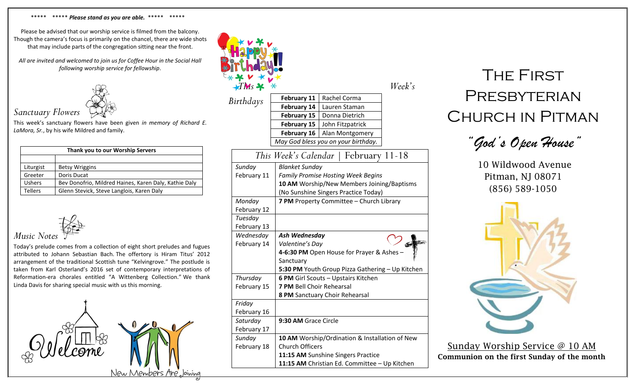#### \*\*\*\*\* \*\*\*\*\* *Please stand as you are able.* \*\*\*\*\* \*\*\*\*\*

Please be advised that our worship service is filmed from the balcony. Though the camera's focus is primarily on the chancel, there are wide shots that may include parts of the congregation sitting near the front.

*All are invited and welcomed to join us for Coffee Hour in the Social Hall following worship service for fellowship*.



This week's sanctuary flowers have been given *in memory of Richard E. LaMora, Sr.*, by his wife Mildred and family.

| Thank you to our Worship Servers |                                                       |  |  |  |
|----------------------------------|-------------------------------------------------------|--|--|--|
|                                  |                                                       |  |  |  |
| Liturgist                        | <b>Betsy Wriggins</b>                                 |  |  |  |
| Greeter                          | Doris Ducat                                           |  |  |  |
| <b>Ushers</b>                    | Bev Donofrio, Mildred Haines, Karen Daly, Kathie Daly |  |  |  |
| <b>Tellers</b>                   | Glenn Stevick, Steve Langlois, Karen Daly             |  |  |  |



Today's prelude comes from a collection of eight short preludes and fugues attributed to Johann Sebastian Bach. The offertory is Hiram Titus' 2012 arrangement of the traditional Scottish tune "Kelvingrove." The postlude is taken from Karl Osterland's 2016 set of contemporary interpretations of Reformation-era chorales entitled "A Wittenberg Collection." We thank Linda Davis for sharing special music with us this morning.



| <b>TMs</b> *                           |                                                                                                                                                |                                                | Week's |  |
|----------------------------------------|------------------------------------------------------------------------------------------------------------------------------------------------|------------------------------------------------|--------|--|
|                                        | <b>February 11</b>                                                                                                                             | Rachel Corma                                   |        |  |
| Birthdays                              | February 14                                                                                                                                    | Lauren Staman                                  |        |  |
|                                        | <b>February 15</b>                                                                                                                             | Donna Dietrich                                 |        |  |
|                                        | <b>February 15</b>                                                                                                                             | John Fitzpatrick                               |        |  |
|                                        | <b>February 16</b>                                                                                                                             | Alan Montgomery                                |        |  |
|                                        |                                                                                                                                                | May God bless you on your birthday.            |        |  |
| This Week's Calendar<br>February 11-18 |                                                                                                                                                |                                                |        |  |
| Sunday<br>February 11                  | <b>Blanket Sunday</b><br><b>Family Promise Hosting Week Begins</b><br>10 AM Worship/New Members Joining/Baptisms                               |                                                |        |  |
|                                        |                                                                                                                                                | (No Sunshine Singers Practice Today)           |        |  |
| Monday                                 |                                                                                                                                                | 7 PM Property Committee - Church Library       |        |  |
| February 12                            |                                                                                                                                                |                                                |        |  |
| Tuesday                                |                                                                                                                                                |                                                |        |  |
| February 13                            |                                                                                                                                                |                                                |        |  |
| Wednesday<br>February 14               | Ash Wednesday<br>Valentine's Day<br>4-6:30 PM Open House for Prayer & Ashes -<br>Sanctuary<br>5:30 PM Youth Group Pizza Gathering - Up Kitchen |                                                |        |  |
| Thursday                               |                                                                                                                                                | <b>6 PM Girl Scouts - Upstairs Kitchen</b>     |        |  |
| February 15                            |                                                                                                                                                | <b>7 PM Bell Choir Rehearsal</b>               |        |  |
|                                        |                                                                                                                                                | 8 PM Sanctuary Choir Rehearsal                 |        |  |
| Friday                                 |                                                                                                                                                |                                                |        |  |
| February 16                            |                                                                                                                                                |                                                |        |  |
| Saturday                               | 9:30 AM Grace Circle                                                                                                                           |                                                |        |  |
| February 17                            |                                                                                                                                                |                                                |        |  |
| Sunday                                 |                                                                                                                                                | 10 AM Worship/Ordination & Installation of New |        |  |
| February 18                            |                                                                                                                                                | <b>Church Officers</b>                         |        |  |
|                                        | 11:15 AM Sunshine Singers Practice<br>11:15 AM Christian Ed. Committee - Up Kitchen                                                            |                                                |        |  |
|                                        |                                                                                                                                                |                                                |        |  |

# The First **PRESBYTERIAN** Church in Pitman

*"God's Open House"*

10 Wildwood Avenue Pitman, NJ 08071 (856) 589-1050



Sunday Worship Service @ 10 AM Communion on the first Sunday of the month